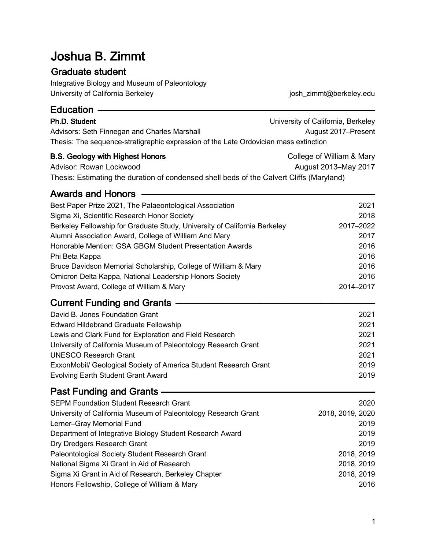# Joshua B. Zimmt

## **Graduate student**

Integrative Biology and Museum of Paleontology University of California Berkeley

josh\_zimmt@berkeley.edu

| Education ——                                                                                                                                                   |                                                           |  |
|----------------------------------------------------------------------------------------------------------------------------------------------------------------|-----------------------------------------------------------|--|
| Ph.D. Student<br>Advisors: Seth Finnegan and Charles Marshall<br>Thesis: The sequence-stratigraphic expression of the Late Ordovician mass extinction          | University of California, Berkeley<br>August 2017-Present |  |
| <b>B.S. Geology with Highest Honors</b><br>Advisor: Rowan Lockwood<br>Thesis: Estimating the duration of condensed shell beds of the Calvert Cliffs (Maryland) | College of William & Mary<br>August 2013-May 2017         |  |
| <b>Awards and Honors</b>                                                                                                                                       |                                                           |  |
| Best Paper Prize 2021, The Palaeontological Association                                                                                                        | 2021                                                      |  |
| Sigma Xi, Scientific Research Honor Society                                                                                                                    | 2018                                                      |  |
| Berkeley Fellowship for Graduate Study, University of California Berkeley                                                                                      | 2017-2022                                                 |  |
| Alumni Association Award, College of William And Mary                                                                                                          | 2017                                                      |  |
| Honorable Mention: GSA GBGM Student Presentation Awards                                                                                                        | 2016                                                      |  |
| Phi Beta Kappa                                                                                                                                                 | 2016                                                      |  |
| Bruce Davidson Memorial Scholarship, College of William & Mary                                                                                                 | 2016                                                      |  |
| Omicron Delta Kappa, National Leadership Honors Society                                                                                                        | 2016                                                      |  |
| Provost Award, College of William & Mary                                                                                                                       | 2014-2017                                                 |  |
| <b>Current Funding and Grants -</b>                                                                                                                            |                                                           |  |
| David B. Jones Foundation Grant                                                                                                                                | 2021                                                      |  |
| <b>Edward Hildebrand Graduate Fellowship</b>                                                                                                                   | 2021                                                      |  |
| Lewis and Clark Fund for Exploration and Field Research                                                                                                        | 2021                                                      |  |
| University of California Museum of Paleontology Research Grant                                                                                                 | 2021                                                      |  |
| <b>UNESCO Research Grant</b>                                                                                                                                   | 2021                                                      |  |
| ExxonMobil/ Geological Society of America Student Research Grant                                                                                               | 2019                                                      |  |
| <b>Evolving Earth Student Grant Award</b>                                                                                                                      | 2019                                                      |  |
| Past Funding and Grants -                                                                                                                                      |                                                           |  |
| <b>SEPM Foundation Student Research Grant</b>                                                                                                                  | 2020                                                      |  |
| University of California Museum of Paleontology Research Grant                                                                                                 | 2018, 2019, 2020                                          |  |
| Lerner-Gray Memorial Fund                                                                                                                                      | 2019                                                      |  |
| Department of Integrative Biology Student Research Award                                                                                                       | 2019                                                      |  |
| Dry Dredgers Research Grant                                                                                                                                    | 2019                                                      |  |
| Paleontological Society Student Research Grant                                                                                                                 | 2018, 2019                                                |  |
| National Sigma Xi Grant in Aid of Research                                                                                                                     | 2018, 2019                                                |  |
| Sigma Xi Grant in Aid of Research, Berkeley Chapter                                                                                                            | 2018, 2019                                                |  |

2016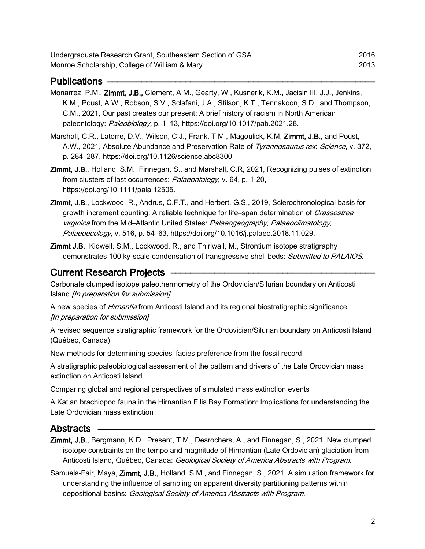- Monarrez, P.M., Zimmt, J.B., Clement, A.M., Gearty, W., Kusnerik, K.M., Jacisin III, J.J., Jenkins, K.M., Poust, A.W., Robson, S.V., Sclafani, J.A., Stilson, K.T., Tennakoon, S.D., and Thompson, C.M., 2021, Our past creates our present: A brief history of racism in North American paleontology: Paleobiology, p. 1-13, https://doi.org/10.1017/pab.2021.28.
- Marshall, C.R., Latorre, D.V., Wilson, C.J., Frank, T.M., Magoulick, K.M, Zimmt, J.B., and Poust, A.W., 2021, Absolute Abundance and Preservation Rate of Tyrannosaurus rex. Science, v. 372, p. 284-287, https://doi.org/10.1126/science.abc8300.
- **Zimmt, J.B., Holland, S.M., Finnegan, S., and Marshall, C.R. 2021, Recognizing pulses of extinction** from clusters of last occurrences: Palaeontology, v. 64, p. 1-20, https://doi.org/10.1111/pala.12505.
- Zimmt, J.B., Lockwood, R., Andrus, C.F.T., and Herbert, G.S., 2019, Sclerochronological basis for growth increment counting: A reliable technique for life-span determination of Crassostrea virginica from the Mid-Atlantic United States: Palaeogeography, Palaeoclimatology, Palaeoecology, v. 516, p. 54–63, https://doi.org/10.1016/j.palaeo.2018.11.029.
- Zimmt J.B., Kidwell, S.M., Lockwood. R., and Thirlwall, M., Strontium isotope stratigraphy demonstrates 100 ky-scale condensation of transgressive shell beds: Submitted to PALAIOS.

### **Current Research Projects -**

Carbonate clumped isotope paleothermometry of the Ordovician/Silurian boundary on Anticosti Island [In preparation for submission]

A new species of *Hirnantia* from Anticosti Island and its regional biostratigraphic significance [In preparation for submission]

A revised sequence stratigraphic framework for the Ordovician/Silurian boundary on Anticosti Island (Québec, Canada)

New methods for determining species' facies preference from the fossil record

A stratigraphic paleobiological assessment of the pattern and drivers of the Late Ordovician mass extinction on Anticosti Island

Comparing global and regional perspectives of simulated mass extinction events

A Katian brachiopod fauna in the Hirnantian Ellis Bay Formation: Implications for understanding the Late Ordovician mass extinction

#### Abstracts

- Zimmt, J.B., Bergmann, K.D., Present, T.M., Desrochers, A., and Finnegan, S., 2021, New clumped isotope constraints on the tempo and magnitude of Hirnantian (Late Ordovician) glaciation from Anticosti Island, Québec, Canada: Geological Society of America Abstracts with Program.
- Samuels-Fair, Maya, Zimmt, J.B., Holland, S.M., and Finnegan, S., 2021, A simulation framework for understanding the influence of sampling on apparent diversity partitioning patterns within depositional basins: Geological Society of America Abstracts with Program.

2016

2013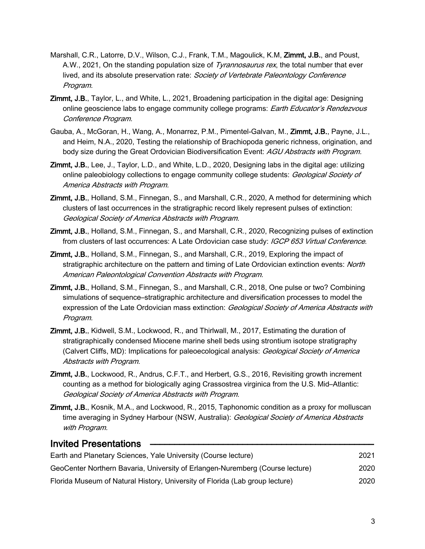- Marshall, C.R., Latorre, D.V., Wilson, C.J., Frank, T.M., Magoulick, K.M, Zimmt, J.B., and Poust, A.W., 2021, On the standing population size of Tyrannosaurus rex, the total number that ever lived, and its absolute preservation rate: Society of Vertebrate Paleontology Conference Program.
- **Zimmt, J.B., Taylor, L., and White, L., 2021, Broadening participation in the digital age: Designing** online geoscience labs to engage community college programs: Earth Educator's Rendezvous Conference Program.
- Gauba, A., McGoran, H., Wang, A., Monarrez, P.M., Pimentel-Galvan, M., Zimmt, J.B., Payne, J.L., and Heim, N.A., 2020, Testing the relationship of Brachiopoda generic richness, origination, and body size during the Great Ordovician Biodiversification Event: AGU Abstracts with Program.
- Zimmt, J.B., Lee, J., Taylor, L.D., and White, L.D., 2020, Designing labs in the digital age: utilizing online paleobiology collections to engage community college students: Geological Society of America Abstracts with Program.
- Zimmt, J.B., Holland, S.M., Finnegan, S., and Marshall, C.R., 2020, A method for determining which clusters of last occurrences in the stratigraphic record likely represent pulses of extinction: Geological Society of America Abstracts with Program.
- **Zimmt, J.B., Holland, S.M., Finnegan, S., and Marshall, C.R., 2020, Recognizing pulses of extinction** from clusters of last occurrences: A Late Ordovician case study: IGCP 653 Virtual Conference.
- Zimmt, J.B., Holland, S.M., Finnegan, S., and Marshall, C.R., 2019, Exploring the impact of stratigraphic architecture on the pattern and timing of Late Ordovician extinction events: North American Paleontological Convention Abstracts with Program.
- **Zimmt, J.B., Holland, S.M., Finnegan, S., and Marshall, C.R., 2018, One pulse or two? Combining** simulations of sequence-stratigraphic architecture and diversification processes to model the expression of the Late Ordovician mass extinction: Geological Society of America Abstracts with Program.
- Zimmt, J.B., Kidwell, S.M., Lockwood, R., and Thirlwall, M., 2017, Estimating the duration of stratigraphically condensed Miocene marine shell beds using strontium isotope stratigraphy (Calvert Cliffs, MD): Implications for paleoecological analysis: Geological Society of America Abstracts with Program.
- Zimmt, J.B., Lockwood, R., Andrus, C.F.T., and Herbert, G.S., 2016, Revisiting growth increment counting as a method for biologically aging Crassostrea virginica from the U.S. Mid-Atlantic: Geological Society of America Abstracts with Program.
- Zimmt, J.B., Kosnik, M.A., and Lockwood, R., 2015, Taphonomic condition as a proxy for molluscan time averaging in Sydney Harbour (NSW, Australia): Geological Society of America Abstracts with Program.

#### **Invited Presentations** Earth and Planetary Sciences, Yale University (Course lecture) 2021 GeoCenter Northern Bavaria, University of Erlangen-Nuremberg (Course lecture) 2020 Florida Museum of Natural History, University of Florida (Lab group lecture) 2020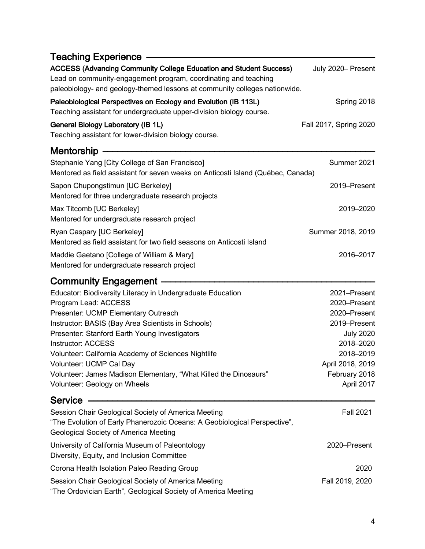| Teaching Experience -                                                                                                                                                                                                      |                               |
|----------------------------------------------------------------------------------------------------------------------------------------------------------------------------------------------------------------------------|-------------------------------|
| <b>ACCESS (Advancing Community College Education and Student Success)</b><br>Lead on community-engagement program, coordinating and teaching<br>paleobiology- and geology-themed lessons at community colleges nationwide. | July 2020- Present            |
| Paleobiological Perspectives on Ecology and Evolution (IB 113L)<br>Teaching assistant for undergraduate upper-division biology course.                                                                                     | Spring 2018                   |
| <b>General Biology Laboratory (IB 1L)</b><br>Teaching assistant for lower-division biology course.                                                                                                                         | Fall 2017, Spring 2020        |
| Mentorship -                                                                                                                                                                                                               |                               |
| Stephanie Yang [City College of San Francisco]<br>Mentored as field assistant for seven weeks on Anticosti Island (Québec, Canada)                                                                                         | Summer 2021                   |
| Sapon Chupongstimun [UC Berkeley]<br>Mentored for three undergraduate research projects                                                                                                                                    | 2019-Present                  |
| Max Titcomb [UC Berkeley]<br>Mentored for undergraduate research project                                                                                                                                                   | 2019-2020                     |
| Ryan Caspary [UC Berkeley]<br>Mentored as field assistant for two field seasons on Anticosti Island                                                                                                                        | Summer 2018, 2019             |
| Maddie Gaetano [College of William & Mary]<br>Mentored for undergraduate research project                                                                                                                                  | 2016-2017                     |
| <b>Community Engagement -</b>                                                                                                                                                                                              |                               |
| Educator: Biodiversity Literacy in Undergraduate Education<br>Program Lead: ACCESS                                                                                                                                         | 2021-Present<br>2020-Present  |
| Presenter: UCMP Elementary Outreach                                                                                                                                                                                        | 2020-Present                  |
| Instructor: BASIS (Bay Area Scientists in Schools)                                                                                                                                                                         | 2019-Present                  |
| Presenter: Stanford Earth Young Investigators                                                                                                                                                                              | <b>July 2020</b>              |
| <b>Instructor: ACCESS</b>                                                                                                                                                                                                  | 2018-2020                     |
| Volunteer: California Academy of Sciences Nightlife<br>Volunteer: UCMP Cal Day                                                                                                                                             | 2018-2019<br>April 2018, 2019 |
| Volunteer: James Madison Elementary, "What Killed the Dinosaurs"                                                                                                                                                           | February 2018                 |
| Volunteer: Geology on Wheels                                                                                                                                                                                               | April 2017                    |
| <b>Service</b>                                                                                                                                                                                                             |                               |
| Session Chair Geological Society of America Meeting<br>"The Evolution of Early Phanerozoic Oceans: A Geobiological Perspective",<br><b>Geological Society of America Meeting</b>                                           | <b>Fall 2021</b>              |
| University of California Museum of Paleontology<br>Diversity, Equity, and Inclusion Committee                                                                                                                              | 2020-Present                  |
| Corona Health Isolation Paleo Reading Group                                                                                                                                                                                | 2020                          |
| Session Chair Geological Society of America Meeting<br>"The Ordovician Earth", Geological Society of America Meeting                                                                                                       | Fall 2019, 2020               |